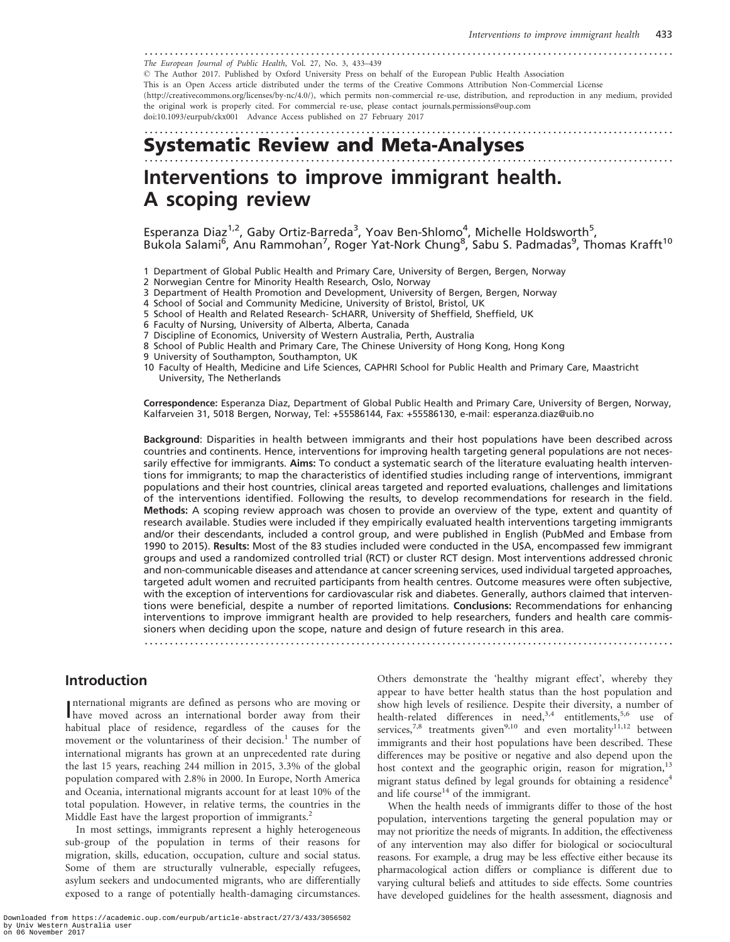#### .........................................................................................................

The European Journal of Public Health, Vol. 27, No. 3, 433–439 - The Author 2017. Published by Oxford University Press on behalf of the European Public Health Association This is an Open Access article distributed under the terms of the Creative Commons Attribution Non-Commercial License (http://creativecommons.org/licenses/by-nc/4.0/), which permits non-commercial re-use, distribution, and reproduction in any medium, provided the original work is properly cited. For commercial re-use, please contact journals.permissions@oup.com doi:10.1093/eurpub/ckx001 Advance Access published on 27 February 2017

.........................................................................................................

# Systematic Review and Meta-Analyses .........................................................................................................

## Interventions to improve immigrant health. A scoping review

Esperanza Diaz<sup>1,2</sup>, Gaby Ortiz-Barreda<sup>3</sup>, Yoav Ben-Shlomo<sup>4</sup>, Michelle Holdsworth<sup>5</sup>, Bukola Salami<sup>6</sup>, Anu Rammohan<sup>7</sup>, Roger Yat-Nork Chung<sup>8</sup>, Sabu S. Padmadas<sup>9</sup>, Thomas Krafft<sup>10</sup>

- 1 Department of Global Public Health and Primary Care, University of Bergen, Bergen, Norway
- 2 Norwegian Centre for Minority Health Research, Oslo, Norway
- 3 Department of Health Promotion and Development, University of Bergen, Bergen, Norway
- 4 School of Social and Community Medicine, University of Bristol, Bristol, UK
- 5 School of Health and Related Research- ScHARR, University of Sheffield, Sheffield, UK
- 6 Faculty of Nursing, University of Alberta, Alberta, Canada
- 7 Discipline of Economics, University of Western Australia, Perth, Australia
- 8 School of Public Health and Primary Care, The Chinese University of Hong Kong, Hong Kong
- 9 University of Southampton, Southampton, UK
- 10 Faculty of Health, Medicine and Life Sciences, CAPHRI School for Public Health and Primary Care, Maastricht University, The Netherlands

Correspondence: Esperanza Diaz, Department of Global Public Health and Primary Care, University of Bergen, Norway, Kalfarveien 31, 5018 Bergen, Norway, Tel: +55586144, Fax: +55586130, e-mail: esperanza.diaz@uib.no

Background: Disparities in health between immigrants and their host populations have been described across countries and continents. Hence, interventions for improving health targeting general populations are not necessarily effective for immigrants. Aims: To conduct a systematic search of the literature evaluating health interventions for immigrants; to map the characteristics of identified studies including range of interventions, immigrant populations and their host countries, clinical areas targeted and reported evaluations, challenges and limitations of the interventions identified. Following the results, to develop recommendations for research in the field. Methods: A scoping review approach was chosen to provide an overview of the type, extent and quantity of research available. Studies were included if they empirically evaluated health interventions targeting immigrants and/or their descendants, included a control group, and were published in English (PubMed and Embase from 1990 to 2015). Results: Most of the 83 studies included were conducted in the USA, encompassed few immigrant groups and used a randomized controlled trial (RCT) or cluster RCT design. Most interventions addressed chronic and non-communicable diseases and attendance at cancer screening services, used individual targeted approaches, targeted adult women and recruited participants from health centres. Outcome measures were often subjective, with the exception of interventions for cardiovascular risk and diabetes. Generally, authors claimed that interventions were beneficial, despite a number of reported limitations. Conclusions: Recommendations for enhancing interventions to improve immigrant health are provided to help researchers, funders and health care commissioners when deciding upon the scope, nature and design of future research in this area.

.........................................................................................................

## Introduction

International migrants are defined as persons who are moving or have moved across an international border away from their nternational migrants are defined as persons who are moving or habitual place of residence, regardless of the causes for the movement or the voluntariness of their decision.<sup>1</sup> The number of international migrants has grown at an unprecedented rate during the last 15 years, reaching 244 million in 2015, 3.3% of the global population compared with 2.8% in 2000. In Europe, North America and Oceania, international migrants account for at least 10% of the total population. However, in relative terms, the countries in the Middle East have the largest proportion of immigrants.<sup>2</sup>

In most settings, immigrants represent a highly heterogeneous sub-group of the population in terms of their reasons for migration, skills, education, occupation, culture and social status. Some of them are structurally vulnerable, especially refugees, asylum seekers and undocumented migrants, who are differentially exposed to a range of potentially health-damaging circumstances. Others demonstrate the 'healthy migrant effect', whereby they appear to have better health status than the host population and show high levels of resilience. Despite their diversity, a number of health-related differences in need,<sup>3,4</sup> entitlements,<sup>5,6</sup> use of services,<sup>7,8</sup> treatments given<sup>9,10</sup> and even mortality<sup>11,12</sup> between immigrants and their host populations have been described. These differences may be positive or negative and also depend upon the host context and the geographic origin, reason for migration,<sup>13</sup> migrant status defined by legal grounds for obtaining a residence<sup>4</sup> and life course<sup>14</sup> of the immigrant.

When the health needs of immigrants differ to those of the host population, interventions targeting the general population may or may not prioritize the needs of migrants. In addition, the effectiveness of any intervention may also differ for biological or sociocultural reasons. For example, a drug may be less effective either because its pharmacological action differs or compliance is different due to varying cultural beliefs and attitudes to side effects. Some countries have developed guidelines for the health assessment, diagnosis and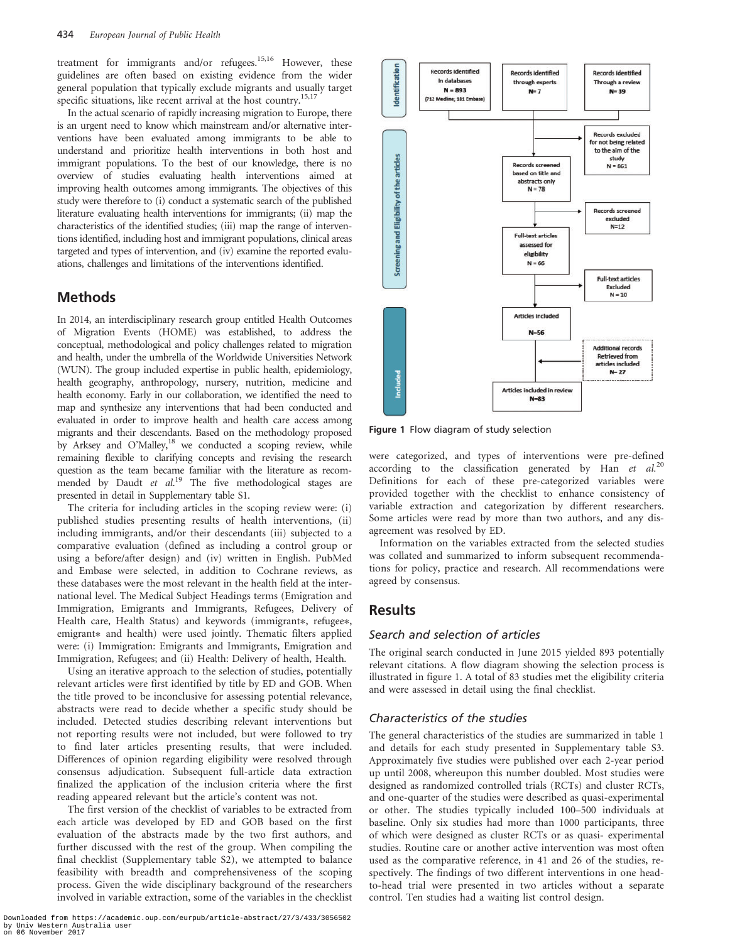treatment for immigrants and/or refugees.<sup>15,16</sup> However, these guidelines are often based on existing evidence from the wider general population that typically exclude migrants and usually target specific situations, like recent arrival at the host country.<sup>15,17</sup>

In the actual scenario of rapidly increasing migration to Europe, there is an urgent need to know which mainstream and/or alternative interventions have been evaluated among immigrants to be able to understand and prioritize health interventions in both host and immigrant populations. To the best of our knowledge, there is no overview of studies evaluating health interventions aimed at improving health outcomes among immigrants. The objectives of this study were therefore to (i) conduct a systematic search of the published literature evaluating health interventions for immigrants; (ii) map the characteristics of the identified studies; (iii) map the range of interventions identified, including host and immigrant populations, clinical areas targeted and types of intervention, and (iv) examine the reported evaluations, challenges and limitations of the interventions identified.

## Methods

In 2014, an interdisciplinary research group entitled Health Outcomes of Migration Events (HOME) was established, to address the conceptual, methodological and policy challenges related to migration and health, under the umbrella of the Worldwide Universities Network (WUN). The group included expertise in public health, epidemiology, health geography, anthropology, nursery, nutrition, medicine and health economy. Early in our collaboration, we identified the need to map and synthesize any interventions that had been conducted and evaluated in order to improve health and health care access among migrants and their descendants. Based on the methodology proposed by Arksey and O'Malley,<sup>18</sup> we conducted a scoping review, while remaining flexible to clarifying concepts and revising the research question as the team became familiar with the literature as recommended by Daudt et  $al.^{19}$  The five methodological stages are presented in detail in Supplementary table S1.

The criteria for including articles in the scoping review were: (i) published studies presenting results of health interventions, (ii) including immigrants, and/or their descendants (iii) subjected to a comparative evaluation (defined as including a control group or using a before/after design) and (iv) written in English. PubMed and Embase were selected, in addition to Cochrane reviews, as these databases were the most relevant in the health field at the international level. The Medical Subject Headings terms (Emigration and Immigration, Emigrants and Immigrants, Refugees, Delivery of Health care, Health Status) and keywords (immigrant\*, refugee\*, emigrant and health) were used jointly. Thematic filters applied were: (i) Immigration: Emigrants and Immigrants, Emigration and Immigration, Refugees; and (ii) Health: Delivery of health, Health.

Using an iterative approach to the selection of studies, potentially relevant articles were first identified by title by ED and GOB. When the title proved to be inconclusive for assessing potential relevance, abstracts were read to decide whether a specific study should be included. Detected studies describing relevant interventions but not reporting results were not included, but were followed to try to find later articles presenting results, that were included. Differences of opinion regarding eligibility were resolved through consensus adjudication. Subsequent full-article data extraction finalized the application of the inclusion criteria where the first reading appeared relevant but the article's content was not.

The first version of the checklist of variables to be extracted from each article was developed by ED and GOB based on the first evaluation of the abstracts made by the two first authors, and further discussed with the rest of the group. When compiling the final checklist (Supplementary table S2), we attempted to balance feasibility with breadth and comprehensiveness of the scoping process. Given the wide disciplinary background of the researchers involved in variable extraction, some of the variables in the checklist



Figure 1 Flow diagram of study selection

were categorized, and types of interventions were pre-defined according to the classification generated by Han et  $al^{20}$ Definitions for each of these pre-categorized variables were provided together with the checklist to enhance consistency of variable extraction and categorization by different researchers. Some articles were read by more than two authors, and any disagreement was resolved by ED.

Information on the variables extracted from the selected studies was collated and summarized to inform subsequent recommendations for policy, practice and research. All recommendations were agreed by consensus.

### **Results**

#### Search and selection of articles

The original search conducted in June 2015 yielded 893 potentially relevant citations. A flow diagram showing the selection process is illustrated in figure 1. A total of 83 studies met the eligibility criteria and were assessed in detail using the final checklist.

#### Characteristics of the studies

The general characteristics of the studies are summarized in table 1 and details for each study presented in Supplementary table S3. Approximately five studies were published over each 2-year period up until 2008, whereupon this number doubled. Most studies were designed as randomized controlled trials (RCTs) and cluster RCTs, and one-quarter of the studies were described as quasi-experimental or other. The studies typically included 100–500 individuals at baseline. Only six studies had more than 1000 participants, three of which were designed as cluster RCTs or as quasi- experimental studies. Routine care or another active intervention was most often used as the comparative reference, in 41 and 26 of the studies, respectively. The findings of two different interventions in one headto-head trial were presented in two articles without a separate control. Ten studies had a waiting list control design.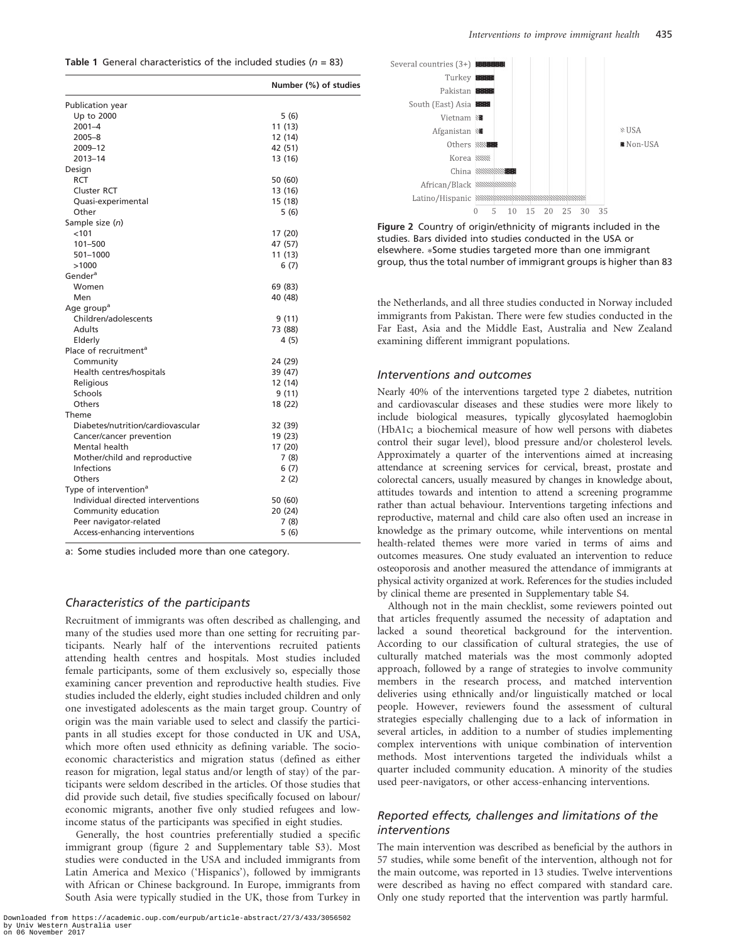**Table 1** General characteristics of the included studies ( $n = 83$ )

|                                              | Number (%) of studies |
|----------------------------------------------|-----------------------|
| Publication year                             |                       |
| Up to 2000                                   | 5 (6)                 |
| $2001 - 4$                                   | 11 (13)               |
| $2005 - 8$                                   | 12 (14)               |
| 2009-12                                      | 42 (51)               |
| $2013 - 14$                                  | 13 (16)               |
| Design                                       |                       |
| <b>RCT</b>                                   | 50 (60)               |
| Cluster RCT                                  | 13 (16)               |
| Quasi-experimental                           | 15 (18)               |
| Other                                        | 5(6)                  |
| Sample size (n)                              |                       |
| < 101                                        | 17 (20)               |
| 101-500                                      | 47 (57)               |
| 501-1000                                     | 11(13)                |
| >1000                                        | 6(7)                  |
| Gender <sup>a</sup>                          |                       |
| Women                                        | 69 (83)               |
| Men                                          | 40 (48)               |
| Age group <sup>a</sup>                       |                       |
| Children/adolescents                         | 9 (11)                |
| Adults                                       | 73 (88)               |
| Elderly<br>Place of recruitment <sup>a</sup> | 4 (5)                 |
|                                              |                       |
| Community                                    | 24 (29)               |
| Health centres/hospitals<br>Religious        | 39 (47)<br>12 (14)    |
| Schools                                      | 9 (11)                |
| Others                                       | 18 (22)               |
| Theme                                        |                       |
| Diabetes/nutrition/cardiovascular            | 32 (39)               |
| Cancer/cancer prevention                     | 19 (23)               |
| Mental health                                | 17 (20)               |
| Mother/child and reproductive                | 7(8)                  |
| Infections                                   | 6(7)                  |
| Others                                       | 2(2)                  |
| Type of intervention <sup>a</sup>            |                       |
| Individual directed interventions            | 50 (60)               |
| Community education                          | 20 (24)               |
| Peer navigator-related                       | 7 (8)                 |
| Access-enhancing interventions               | 5(6)                  |

a: Some studies included more than one category.

#### Characteristics of the participants

Recruitment of immigrants was often described as challenging, and many of the studies used more than one setting for recruiting participants. Nearly half of the interventions recruited patients attending health centres and hospitals. Most studies included female participants, some of them exclusively so, especially those examining cancer prevention and reproductive health studies. Five studies included the elderly, eight studies included children and only one investigated adolescents as the main target group. Country of origin was the main variable used to select and classify the participants in all studies except for those conducted in UK and USA, which more often used ethnicity as defining variable. The socioeconomic characteristics and migration status (defined as either reason for migration, legal status and/or length of stay) of the participants were seldom described in the articles. Of those studies that did provide such detail, five studies specifically focused on labour/ economic migrants, another five only studied refugees and lowincome status of the participants was specified in eight studies.

Generally, the host countries preferentially studied a specific immigrant group (figure 2 and Supplementary table S3). Most studies were conducted in the USA and included immigrants from Latin America and Mexico ('Hispanics'), followed by immigrants with African or Chinese background. In Europe, immigrants from South Asia were typically studied in the UK, those from Turkey in



Figure 2 Country of origin/ethnicity of migrants included in the studies. Bars divided into studies conducted in the USA or elsewhere. \*Some studies targeted more than one immigrant group, thus the total number of immigrant groups is higher than 83

the Netherlands, and all three studies conducted in Norway included immigrants from Pakistan. There were few studies conducted in the Far East, Asia and the Middle East, Australia and New Zealand examining different immigrant populations.

#### Interventions and outcomes

Nearly 40% of the interventions targeted type 2 diabetes, nutrition and cardiovascular diseases and these studies were more likely to include biological measures, typically glycosylated haemoglobin (HbA1c; a biochemical measure of how well persons with diabetes control their sugar level), blood pressure and/or cholesterol levels. Approximately a quarter of the interventions aimed at increasing attendance at screening services for cervical, breast, prostate and colorectal cancers, usually measured by changes in knowledge about, attitudes towards and intention to attend a screening programme rather than actual behaviour. Interventions targeting infections and reproductive, maternal and child care also often used an increase in knowledge as the primary outcome, while interventions on mental health-related themes were more varied in terms of aims and outcomes measures. One study evaluated an intervention to reduce osteoporosis and another measured the attendance of immigrants at physical activity organized at work. References for the studies included by clinical theme are presented in Supplementary table S4.

Although not in the main checklist, some reviewers pointed out that articles frequently assumed the necessity of adaptation and lacked a sound theoretical background for the intervention. According to our classification of cultural strategies, the use of culturally matched materials was the most commonly adopted approach, followed by a range of strategies to involve community members in the research process, and matched intervention deliveries using ethnically and/or linguistically matched or local people. However, reviewers found the assessment of cultural strategies especially challenging due to a lack of information in several articles, in addition to a number of studies implementing complex interventions with unique combination of intervention methods. Most interventions targeted the individuals whilst a quarter included community education. A minority of the studies used peer-navigators, or other access-enhancing interventions.

#### Reported effects, challenges and limitations of the interventions

The main intervention was described as beneficial by the authors in 57 studies, while some benefit of the intervention, although not for the main outcome, was reported in 13 studies. Twelve interventions were described as having no effect compared with standard care. Only one study reported that the intervention was partly harmful.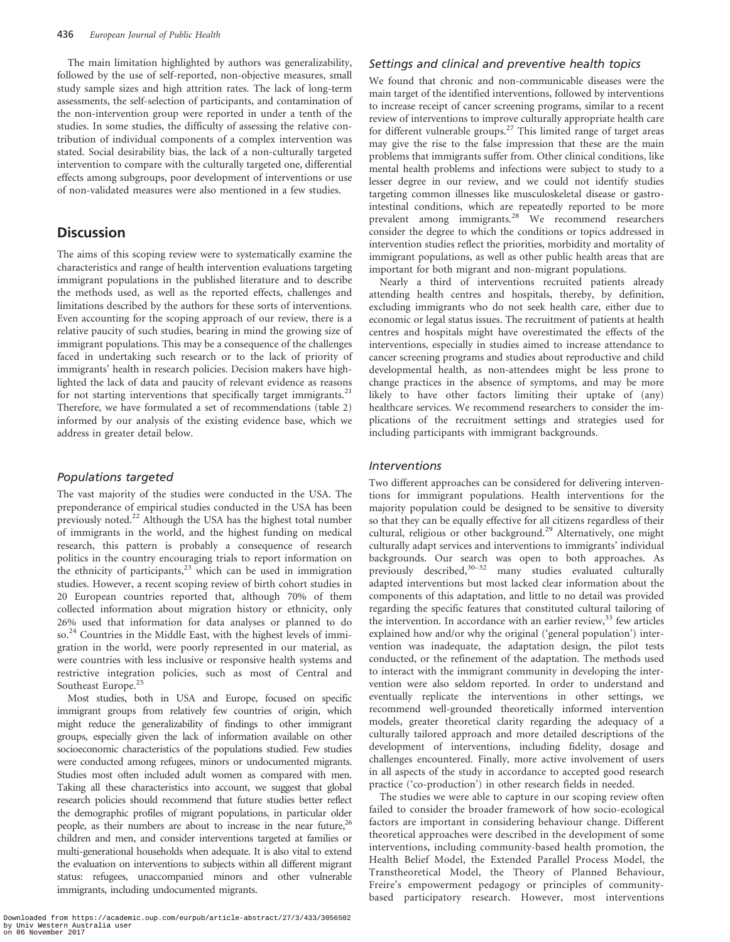The main limitation highlighted by authors was generalizability, followed by the use of self-reported, non-objective measures, small study sample sizes and high attrition rates. The lack of long-term assessments, the self-selection of participants, and contamination of the non-intervention group were reported in under a tenth of the studies. In some studies, the difficulty of assessing the relative contribution of individual components of a complex intervention was stated. Social desirability bias, the lack of a non-culturally targeted intervention to compare with the culturally targeted one, differential effects among subgroups, poor development of interventions or use of non-validated measures were also mentioned in a few studies.

## **Discussion**

The aims of this scoping review were to systematically examine the characteristics and range of health intervention evaluations targeting immigrant populations in the published literature and to describe the methods used, as well as the reported effects, challenges and limitations described by the authors for these sorts of interventions. Even accounting for the scoping approach of our review, there is a relative paucity of such studies, bearing in mind the growing size of immigrant populations. This may be a consequence of the challenges faced in undertaking such research or to the lack of priority of immigrants' health in research policies. Decision makers have highlighted the lack of data and paucity of relevant evidence as reasons for not starting interventions that specifically target immigrants.<sup>21</sup> Therefore, we have formulated a set of recommendations (table 2) informed by our analysis of the existing evidence base, which we address in greater detail below.

#### Populations targeted

The vast majority of the studies were conducted in the USA. The preponderance of empirical studies conducted in the USA has been previously noted.<sup>22</sup> Although the USA has the highest total number of immigrants in the world, and the highest funding on medical research, this pattern is probably a consequence of research politics in the country encouraging trials to report information on the ethnicity of participants,  $23$  which can be used in immigration studies. However, a recent scoping review of birth cohort studies in 20 European countries reported that, although 70% of them collected information about migration history or ethnicity, only 26% used that information for data analyses or planned to do so.<sup>24</sup> Countries in the Middle East, with the highest levels of immigration in the world, were poorly represented in our material, as were countries with less inclusive or responsive health systems and restrictive integration policies, such as most of Central and Southeast Europe.<sup>25</sup>

Most studies, both in USA and Europe, focused on specific immigrant groups from relatively few countries of origin, which might reduce the generalizability of findings to other immigrant groups, especially given the lack of information available on other socioeconomic characteristics of the populations studied. Few studies were conducted among refugees, minors or undocumented migrants. Studies most often included adult women as compared with men. Taking all these characteristics into account, we suggest that global research policies should recommend that future studies better reflect the demographic profiles of migrant populations, in particular older people, as their numbers are about to increase in the near future,  $26$ children and men, and consider interventions targeted at families or multi-generational households when adequate. It is also vital to extend the evaluation on interventions to subjects within all different migrant status: refugees, unaccompanied minors and other vulnerable immigrants, including undocumented migrants.

### Settings and clinical and preventive health topics

We found that chronic and non-communicable diseases were the main target of the identified interventions, followed by interventions to increase receipt of cancer screening programs, similar to a recent review of interventions to improve culturally appropriate health care for different vulnerable groups.<sup>27</sup> This limited range of target areas may give the rise to the false impression that these are the main problems that immigrants suffer from. Other clinical conditions, like mental health problems and infections were subject to study to a lesser degree in our review, and we could not identify studies targeting common illnesses like musculoskeletal disease or gastrointestinal conditions, which are repeatedly reported to be more prevalent among immigrants.<sup>28</sup> We recommend researchers consider the degree to which the conditions or topics addressed in intervention studies reflect the priorities, morbidity and mortality of immigrant populations, as well as other public health areas that are important for both migrant and non-migrant populations.

Nearly a third of interventions recruited patients already attending health centres and hospitals, thereby, by definition, excluding immigrants who do not seek health care, either due to economic or legal status issues. The recruitment of patients at health centres and hospitals might have overestimated the effects of the interventions, especially in studies aimed to increase attendance to cancer screening programs and studies about reproductive and child developmental health, as non-attendees might be less prone to change practices in the absence of symptoms, and may be more likely to have other factors limiting their uptake of (any) healthcare services. We recommend researchers to consider the implications of the recruitment settings and strategies used for including participants with immigrant backgrounds.

#### Interventions

Two different approaches can be considered for delivering interventions for immigrant populations. Health interventions for the majority population could be designed to be sensitive to diversity so that they can be equally effective for all citizens regardless of their cultural, religious or other background.<sup>29</sup> Alternatively, one might culturally adapt services and interventions to immigrants' individual backgrounds. Our search was open to both approaches. As previously described,  $30-32$  many studies evaluated culturally adapted interventions but most lacked clear information about the components of this adaptation, and little to no detail was provided regarding the specific features that constituted cultural tailoring of the intervention. In accordance with an earlier review,<sup>33</sup> few articles explained how and/or why the original ('general population') intervention was inadequate, the adaptation design, the pilot tests conducted, or the refinement of the adaptation. The methods used to interact with the immigrant community in developing the intervention were also seldom reported. In order to understand and eventually replicate the interventions in other settings, we recommend well-grounded theoretically informed intervention models, greater theoretical clarity regarding the adequacy of a culturally tailored approach and more detailed descriptions of the development of interventions, including fidelity, dosage and challenges encountered. Finally, more active involvement of users in all aspects of the study in accordance to accepted good research practice ('co-production') in other research fields in needed.

The studies we were able to capture in our scoping review often failed to consider the broader framework of how socio-ecological factors are important in considering behaviour change. Different theoretical approaches were described in the development of some interventions, including community-based health promotion, the Health Belief Model, the Extended Parallel Process Model, the Transtheoretical Model, the Theory of Planned Behaviour, Freire's empowerment pedagogy or principles of communitybased participatory research. However, most interventions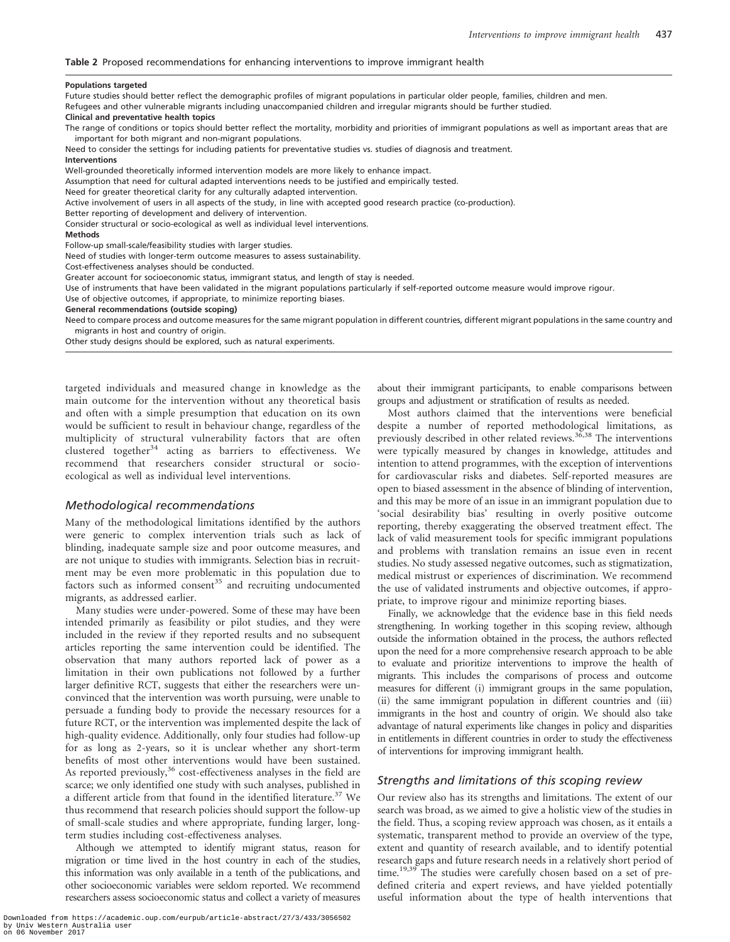#### Table 2 Proposed recommendations for enhancing interventions to improve immigrant health

#### Populations targeted

Future studies should better reflect the demographic profiles of migrant populations in particular older people, families, children and men. Refugees and other vulnerable migrants including unaccompanied children and irregular migrants should be further studied. Clinical and preventative health topics The range of conditions or topics should better reflect the mortality, morbidity and priorities of immigrant populations as well as important areas that are important for both migrant and non-migrant populations. Need to consider the settings for including patients for preventative studies vs. studies of diagnosis and treatment. Interventions Well-grounded theoretically informed intervention models are more likely to enhance impact. Assumption that need for cultural adapted interventions needs to be justified and empirically tested. Need for greater theoretical clarity for any culturally adapted intervention. Active involvement of users in all aspects of the study, in line with accepted good research practice (co-production). Better reporting of development and delivery of intervention. Consider structural or socio-ecological as well as individual level interventions. Methods Follow-up small-scale/feasibility studies with larger studies. Need of studies with longer-term outcome measures to assess sustainability. Cost-effectiveness analyses should be conducted. Greater account for socioeconomic status, immigrant status, and length of stay is needed. Use of instruments that have been validated in the migrant populations particularly if self-reported outcome measure would improve rigour. Use of objective outcomes, if appropriate, to minimize reporting biases. General recommendations (outside scoping) Need to compare process and outcome measures for the same migrant population in different countries, different migrant populations in the same country and migrants in host and country of origin. Other study designs should be explored, such as natural experiments.

targeted individuals and measured change in knowledge as the main outcome for the intervention without any theoretical basis and often with a simple presumption that education on its own would be sufficient to result in behaviour change, regardless of the multiplicity of structural vulnerability factors that are often clustered together<sup>34</sup> acting as barriers to effectiveness. We recommend that researchers consider structural or socioecological as well as individual level interventions.

#### Methodological recommendations

Many of the methodological limitations identified by the authors were generic to complex intervention trials such as lack of blinding, inadequate sample size and poor outcome measures, and are not unique to studies with immigrants. Selection bias in recruitment may be even more problematic in this population due to factors such as informed consent $35$  and recruiting undocumented migrants, as addressed earlier.

Many studies were under-powered. Some of these may have been intended primarily as feasibility or pilot studies, and they were included in the review if they reported results and no subsequent articles reporting the same intervention could be identified. The observation that many authors reported lack of power as a limitation in their own publications not followed by a further larger definitive RCT, suggests that either the researchers were unconvinced that the intervention was worth pursuing, were unable to persuade a funding body to provide the necessary resources for a future RCT, or the intervention was implemented despite the lack of high-quality evidence. Additionally, only four studies had follow-up for as long as 2-years, so it is unclear whether any short-term benefits of most other interventions would have been sustained. As reported previously,<sup>36</sup> cost-effectiveness analyses in the field are scarce; we only identified one study with such analyses, published in a different article from that found in the identified literature.<sup>37</sup> We thus recommend that research policies should support the follow-up of small-scale studies and where appropriate, funding larger, longterm studies including cost-effectiveness analyses.

Although we attempted to identify migrant status, reason for migration or time lived in the host country in each of the studies, this information was only available in a tenth of the publications, and other socioeconomic variables were seldom reported. We recommend researchers assess socioeconomic status and collect a variety of measures about their immigrant participants, to enable comparisons between groups and adjustment or stratification of results as needed.

Most authors claimed that the interventions were beneficial despite a number of reported methodological limitations, as previously described in other related reviews.<sup>36,38</sup> The interventions were typically measured by changes in knowledge, attitudes and intention to attend programmes, with the exception of interventions for cardiovascular risks and diabetes. Self-reported measures are open to biased assessment in the absence of blinding of intervention, and this may be more of an issue in an immigrant population due to 'social desirability bias' resulting in overly positive outcome reporting, thereby exaggerating the observed treatment effect. The lack of valid measurement tools for specific immigrant populations and problems with translation remains an issue even in recent studies. No study assessed negative outcomes, such as stigmatization, medical mistrust or experiences of discrimination. We recommend the use of validated instruments and objective outcomes, if appropriate, to improve rigour and minimize reporting biases.

Finally, we acknowledge that the evidence base in this field needs strengthening. In working together in this scoping review, although outside the information obtained in the process, the authors reflected upon the need for a more comprehensive research approach to be able to evaluate and prioritize interventions to improve the health of migrants. This includes the comparisons of process and outcome measures for different (i) immigrant groups in the same population, (ii) the same immigrant population in different countries and (iii) immigrants in the host and country of origin. We should also take advantage of natural experiments like changes in policy and disparities in entitlements in different countries in order to study the effectiveness of interventions for improving immigrant health.

#### Strengths and limitations of this scoping review

Our review also has its strengths and limitations. The extent of our search was broad, as we aimed to give a holistic view of the studies in the field. Thus, a scoping review approach was chosen, as it entails a systematic, transparent method to provide an overview of the type, extent and quantity of research available, and to identify potential research gaps and future research needs in a relatively short period of time.<sup>19,39</sup> The studies were carefully chosen based on a set of predefined criteria and expert reviews, and have yielded potentially useful information about the type of health interventions that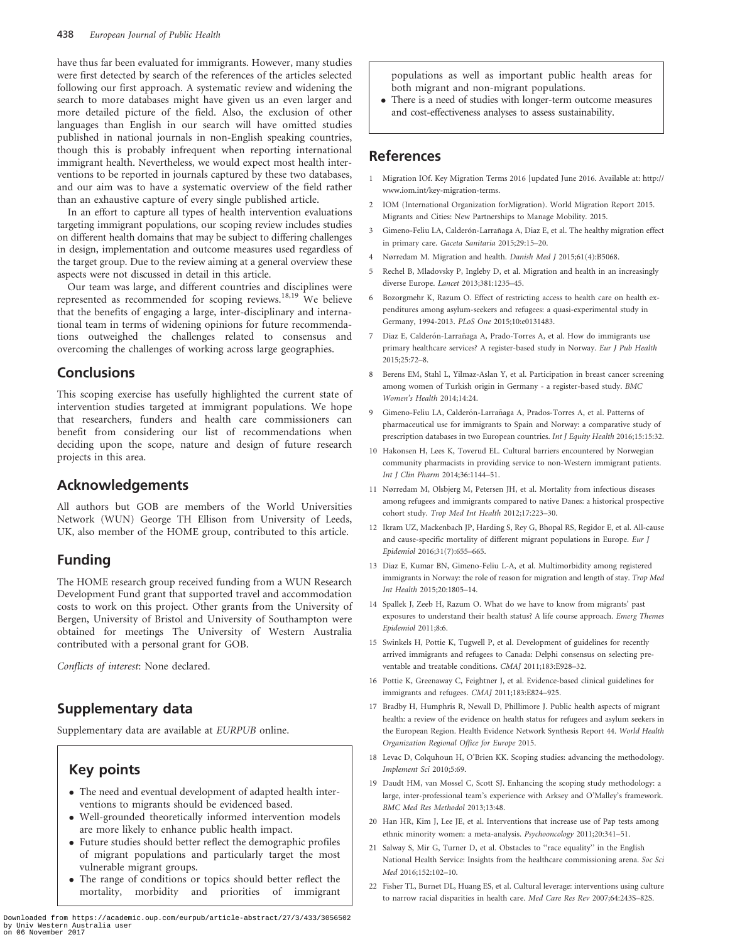have thus far been evaluated for immigrants. However, many studies were first detected by search of the references of the articles selected following our first approach. A systematic review and widening the search to more databases might have given us an even larger and more detailed picture of the field. Also, the exclusion of other languages than English in our search will have omitted studies published in national journals in non-English speaking countries, though this is probably infrequent when reporting international immigrant health. Nevertheless, we would expect most health interventions to be reported in journals captured by these two databases, and our aim was to have a systematic overview of the field rather than an exhaustive capture of every single published article.

In an effort to capture all types of health intervention evaluations targeting immigrant populations, our scoping review includes studies on different health domains that may be subject to differing challenges in design, implementation and outcome measures used regardless of the target group. Due to the review aiming at a general overview these aspects were not discussed in detail in this article.

Our team was large, and different countries and disciplines were represented as recommended for scoping reviews.<sup>18,19</sup> We believe that the benefits of engaging a large, inter-disciplinary and international team in terms of widening opinions for future recommendations outweighed the challenges related to consensus and overcoming the challenges of working across large geographies.

## **Conclusions**

This scoping exercise has usefully highlighted the current state of intervention studies targeted at immigrant populations. We hope that researchers, funders and health care commissioners can benefit from considering our list of recommendations when deciding upon the scope, nature and design of future research projects in this area.

## Acknowledgements

All authors but GOB are members of the World Universities Network (WUN) George TH Ellison from University of Leeds, UK, also member of the HOME group, contributed to this article.

## Funding

The HOME research group received funding from a WUN Research Development Fund grant that supported travel and accommodation costs to work on this project. Other grants from the University of Bergen, University of Bristol and University of Southampton were obtained for meetings The University of Western Australia contributed with a personal grant for GOB.

Conflicts of interest: None declared.

## Supplementary data

Supplementary data are available at EURPUB online.

## Key points

- The need and eventual development of adapted health interventions to migrants should be evidenced based.
- Well-grounded theoretically informed intervention models are more likely to enhance public health impact.
- Future studies should better reflect the demographic profiles of migrant populations and particularly target the most vulnerable migrant groups.
- The range of conditions or topics should better reflect the mortality, morbidity and priorities of immigrant

Downloaded from https://academic.oup.com/eurpub/article-abstract/27/3/433/3056502 by Univ Western Australia user on 06 November 2017

populations as well as important public health areas for both migrant and non-migrant populations.

 There is a need of studies with longer-term outcome measures and cost-effectiveness analyses to assess sustainability.

## References

- 1 Migration IOf. Key Migration Terms 2016 [updated June 2016. Available at: http:// www.iom.int/key-migration-terms.
- 2 IOM (International Organization forMigration). World Migration Report 2015. Migrants and Cities: New Partnerships to Manage Mobility. 2015.
- 3 Gimeno-Feliu LA, Calderón-Larrañaga A, Diaz E, et al. The healthy migration effect in primary care. Gaceta Sanitaria 2015;29:15–20.
- 4 Nørredam M. Migration and health. Danish Med J 2015;61(4):B5068.
- 5 Rechel B, Mladovsky P, Ingleby D, et al. Migration and health in an increasingly diverse Europe. Lancet 2013;381:1235–45.
- 6 Bozorgmehr K, Razum O. Effect of restricting access to health care on health expenditures among asylum-seekers and refugees: a quasi-experimental study in Germany, 1994-2013. PLoS One 2015;10:e0131483.
- 7 Diaz E, Calderón-Larrañaga A, Prado-Torres A, et al. How do immigrants use primary healthcare services? A register-based study in Norway. Eur J Pub Health 2015;25:72–8.
- 8 Berens EM, Stahl L, Yilmaz-Aslan Y, et al. Participation in breast cancer screening among women of Turkish origin in Germany - a register-based study. BMC Women's Health 2014;14:24.
- 9 Gimeno-Feliu LA, Calderón-Larrañaga A, Prados-Torres A, et al. Patterns of pharmaceutical use for immigrants to Spain and Norway: a comparative study of prescription databases in two European countries. Int J Equity Health 2016;15:15:32.
- 10 Hakonsen H, Lees K, Toverud EL. Cultural barriers encountered by Norwegian community pharmacists in providing service to non-Western immigrant patients. Int J Clin Pharm 2014;36:1144–51.
- 11 Nørredam M, Olsbjerg M, Petersen JH, et al. Mortality from infectious diseases among refugees and immigrants compared to native Danes: a historical prospective cohort study. Trop Med Int Health 2012;17:223–30.
- 12 Ikram UZ, Mackenbach JP, Harding S, Rey G, Bhopal RS, Regidor E, et al. All-cause and cause-specific mortality of different migrant populations in Europe. Eur J Epidemiol 2016;31(7):655–665.
- 13 Diaz E, Kumar BN, Gimeno-Feliu L-A, et al. Multimorbidity among registered immigrants in Norway: the role of reason for migration and length of stay. Trop Med Int Health 2015;20:1805–14.
- 14 Spallek J, Zeeb H, Razum O. What do we have to know from migrants' past exposures to understand their health status? A life course approach. Emerg Themes Epidemiol 2011;8:6.
- 15 Swinkels H, Pottie K, Tugwell P, et al. Development of guidelines for recently arrived immigrants and refugees to Canada: Delphi consensus on selecting preventable and treatable conditions. CMAJ 2011;183:E928–32.
- 16 Pottie K, Greenaway C, Feightner J, et al. Evidence-based clinical guidelines for immigrants and refugees. CMAJ 2011;183:E824–925.
- 17 Bradby H, Humphris R, Newall D, Phillimore J. Public health aspects of migrant health: a review of the evidence on health status for refugees and asylum seekers in the European Region. Health Evidence Network Synthesis Report 44. World Health Organization Regional Office for Europe 2015.
- 18 Levac D, Colquhoun H, O'Brien KK. Scoping studies: advancing the methodology. Implement Sci 2010;5:69.
- 19 Daudt HM, van Mossel C, Scott SJ. Enhancing the scoping study methodology: a large, inter-professional team's experience with Arksey and O'Malley's framework. BMC Med Res Methodol 2013;13:48.
- 20 Han HR, Kim J, Lee JE, et al. Interventions that increase use of Pap tests among ethnic minority women: a meta-analysis. Psychooncology 2011;20:341–51.
- 21 Salway S, Mir G, Turner D, et al. Obstacles to ''race equality'' in the English National Health Service: Insights from the healthcare commissioning arena. Soc Sci Med 2016;152:102–10.
- 22 Fisher TL, Burnet DL, Huang ES, et al. Cultural leverage: interventions using culture to narrow racial disparities in health care. Med Care Res Rev 2007;64:243S–82S.